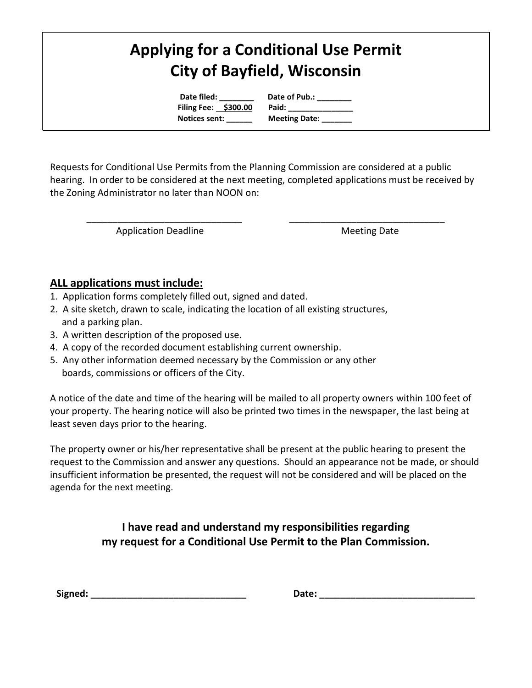# **Applying for a Conditional Use Permit City of Bayfield, Wisconsin**

**Date filed: \_\_\_\_\_\_\_\_ Date of Pub.: \_\_\_\_\_\_\_\_ Filing Fee: \$300.00 Paid:** 

 **Notices sent: \_\_\_\_\_\_ Meeting Date: \_\_\_\_\_\_\_**

Requests for Conditional Use Permits from the Planning Commission are considered at a public hearing. In order to be considered at the next meeting, completed applications must be received by the Zoning Administrator no later than NOON on:

\_\_\_\_\_\_\_\_\_\_\_\_\_\_\_\_\_\_\_\_\_\_\_\_\_\_\_\_\_\_ \_\_\_\_\_\_\_\_\_\_\_\_\_\_\_\_\_\_\_\_\_\_\_\_\_\_\_\_\_\_

Application Deadline Meeting Date

#### **ALL applications must include:**

- 1. Application forms completely filled out, signed and dated.
- 2. A site sketch, drawn to scale, indicating the location of all existing structures, and a parking plan.
- 3. A written description of the proposed use.
- 4. A copy of the recorded document establishing current ownership.
- 5. Any other information deemed necessary by the Commission or any other boards, commissions or officers of the City.

A notice of the date and time of the hearing will be mailed to all property owners within 100 feet of your property. The hearing notice will also be printed two times in the newspaper, the last being at least seven days prior to the hearing.

The property owner or his/her representative shall be present at the public hearing to present the request to the Commission and answer any questions. Should an appearance not be made, or should insufficient information be presented, the request will not be considered and will be placed on the agenda for the next meeting.

### **I have read and understand my responsibilities regarding my request for a Conditional Use Permit to the Plan Commission.**

| Signed: |  |
|---------|--|
|---------|--|

**Signed: \_\_\_\_\_\_\_\_\_\_\_\_\_\_\_\_\_\_\_\_\_\_\_\_\_\_\_\_\_\_ Date: \_\_\_\_\_\_\_\_\_\_\_\_\_\_\_\_\_\_\_\_\_\_\_\_\_\_\_\_\_\_**